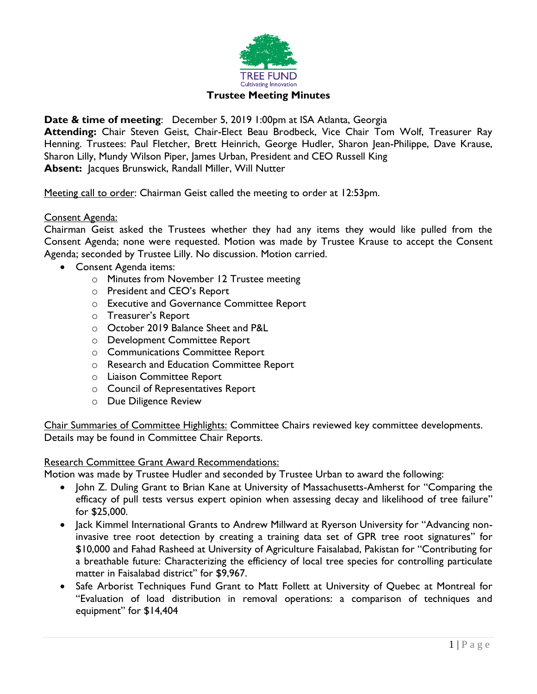

# **Date & time of meeting**: December 5, 2019 1:00pm at ISA Atlanta, Georgia

**Attending:** Chair Steven Geist, Chair-Elect Beau Brodbeck, Vice Chair Tom Wolf, Treasurer Ray Henning. Trustees: Paul Fletcher, Brett Heinrich, George Hudler, Sharon Jean-Philippe, Dave Krause, Sharon Lilly, Mundy Wilson Piper, James Urban, President and CEO Russell King **Absent:** Jacques Brunswick, Randall Miller, Will Nutter

Meeting call to order: Chairman Geist called the meeting to order at 12:53pm.

## Consent Agenda:

Chairman Geist asked the Trustees whether they had any items they would like pulled from the Consent Agenda; none were requested. Motion was made by Trustee Krause to accept the Consent Agenda; seconded by Trustee Lilly. No discussion. Motion carried.

- Consent Agenda items:
	- o Minutes from November 12 Trustee meeting
	- o President and CEO's Report
	- o Executive and Governance Committee Report
	- o Treasurer's Report
	- o October 2019 Balance Sheet and P&L
	- o Development Committee Report
	- o Communications Committee Report
	- o Research and Education Committee Report
	- o Liaison Committee Report
	- o Council of Representatives Report
	- o Due Diligence Review

Chair Summaries of Committee Highlights: Committee Chairs reviewed key committee developments. Details may be found in Committee Chair Reports.

## Research Committee Grant Award Recommendations:

Motion was made by Trustee Hudler and seconded by Trustee Urban to award the following:

- John Z. Duling Grant to Brian Kane at University of Massachusetts-Amherst for "Comparing the efficacy of pull tests versus expert opinion when assessing decay and likelihood of tree failure" for \$25,000.
- Jack Kimmel International Grants to Andrew Millward at Ryerson University for "Advancing noninvasive tree root detection by creating a training data set of GPR tree root signatures" for \$10,000 and Fahad Rasheed at University of Agriculture Faisalabad, Pakistan for "Contributing for a breathable future: Characterizing the efficiency of local tree species for controlling particulate matter in Faisalabad district" for \$9,967.
- Safe Arborist Techniques Fund Grant to Matt Follett at University of Quebec at Montreal for "Evaluation of load distribution in removal operations: a comparison of techniques and equipment" for \$14,404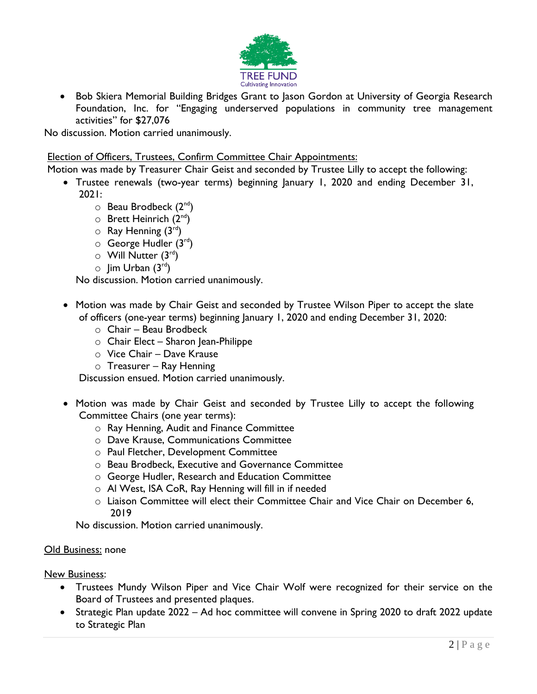

• Bob Skiera Memorial Building Bridges Grant to Jason Gordon at University of Georgia Research Foundation, Inc. for "Engaging underserved populations in community tree management activities" for \$27,076

No discussion. Motion carried unanimously.

## Election of Officers, Trustees, Confirm Committee Chair Appointments:

Motion was made by Treasurer Chair Geist and seconded by Trustee Lilly to accept the following:

- Trustee renewals (two-year terms) beginning January 1, 2020 and ending December 31, 2021:
	- $\circ$  Beau Brodbeck (2<sup>nd</sup>)
	- $\circ$  Brett Heinrich (2<sup>nd</sup>)
	- $\circ$  Ray Henning (3rd)
	- $\circ$  George Hudler (3<sup>rd</sup>)
	- $\circ$  Will Nutter (3rd)
	- $\circ$  Jim Urban  $(3^{rd})$

No discussion. Motion carried unanimously.

- Motion was made by Chair Geist and seconded by Trustee Wilson Piper to accept the slate of officers (one-year terms) beginning January 1, 2020 and ending December 31, 2020:
	- o Chair Beau Brodbeck
	- o Chair Elect Sharon Jean-Philippe
	- o Vice Chair Dave Krause
	- $\circ$  Treasurer Ray Henning

Discussion ensued. Motion carried unanimously.

- Motion was made by Chair Geist and seconded by Trustee Lilly to accept the following Committee Chairs (one year terms):
	- o Ray Henning, Audit and Finance Committee
	- o Dave Krause, Communications Committee
	- o Paul Fletcher, Development Committee
	- o Beau Brodbeck, Executive and Governance Committee
	- o George Hudler, Research and Education Committee
	- o Al West, ISA CoR, Ray Henning will fill in if needed
	- o Liaison Committee will elect their Committee Chair and Vice Chair on December 6, 2019

No discussion. Motion carried unanimously.

## Old Business: none

## New Business:

- Trustees Mundy Wilson Piper and Vice Chair Wolf were recognized for their service on the Board of Trustees and presented plaques.
- Strategic Plan update 2022 Ad hoc committee will convene in Spring 2020 to draft 2022 update to Strategic Plan